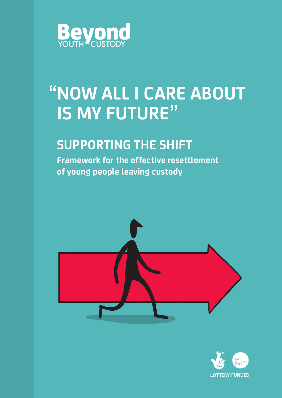

# **NOW ALL I CARE ABOUT IS MY FUTURE" "**

# **SUPPORTING THE SHIFT**

**Framework for the effective resettlement of young people leaving custody**



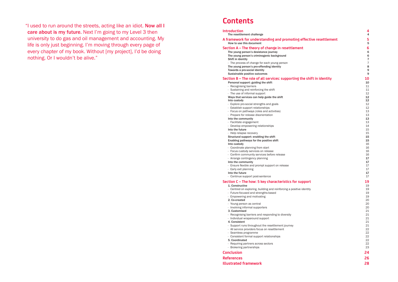"I used to run around the streets, acting like an idiot. Now all I care about is my future. Next I'm going to my Level 3 then university to do gas and oil management and accounting. My life is only just beginning. I'm moving through every page of every chapter of my book. Without [my project], I'd be doing nothing. Or I wouldn't be alive."

**A framework for understanding and promoting effective resettlement 5** How to use this document 5

- The young person's desistance journey 6 The young person's criminogenic background 6 and 6 and 6 and 6 and 6 and 6 and 6 and 6 and 6 and 6 and 6 and 6 and 6 and 6 and 6 and 6 and 6 and 6 and 6 and 6 and 6 and 6 and 6 and 6 and 6 and 6 and 6 and 6 and 6 and 6 and Shift in identity **7** and 2008 **7** and 2008 **7** and 2008 **7** and 2008 **7** and 2008 **7** and 2008 **7** and 2008 **7** and 2008 **7** and 2008 **7** and 2008 **7** and 2008 **7** and 2008 **7** and 2008 **7** and 2008 **7** and 2008 **7** and 2
- · The process of change for each young person 7
- The young person's pro-offending identity and the state of the state and the state and the state and the state  $8\,$
- Towards a pro-social identity and the set of the set of the set of the set of the set of the set of the set of the set of the set of the set of the set of the set of the set of the set of the set of the set of the set of t
- Sustainable positive outcomes **9** and the state of the state of the state of the state of the state of the state of the state of the state of the state of the state of the state of the state of the state of the state of th

### **Contents**

#### The resettlement challenge

#### **Section A – The theory of change in resettlement 6**

· Explore pro-social strengths and goals 12 · Establish support relationships 12 • Focus on pathways (roles and activities) 13<br>• Prepare for release disorientation 13 • Prepare for release disorientation 13<br> **13** Into the community 13 · Facilitate engagement 13 Into the future 15<br>
Into the future 15<br>
Into the future 15<br>
Into the future 15 Into custody and the control of the control of the control of the control of the control of the control of the control of the control of the control of the control of the control of the control of the control of the contro • Confirm community services before release **16** and the services of the services before release **16** and the services before release **16** and the services before release **16** and the services before release **17** and the s Into the community 17<br>
- Ensure flexible and prompt support on release 1999 - 1899 - 1899 - 1899 - 1899 - 1899 - 1899 - 1899 - 1899 - 1899 - 1899 - 1899 - 1899 - 1899 - 1899 - 1899 - 1899 - 1899 - 1899 - 1899 - 1899 - 1899 • Early exit planning 17 Into the future 17

#### **Section B – The role of all services: supporting the shift in identity 10**

- Personal support: guiding the shift 10<br>
Personal support: guiding the shift 10<br>
11
- 
- Recognising barriers 11<br>
11 Sustaining and reinforcing the shift 11 Sustaining and reinforcing the shift 11 • Sustaining and reinforcing the shift 11<br>
• The use of informal support 12
- 
- The use of informal support  $12$ <br> **Ways that services can help guide the shift**  $12$ Ways that services can help guide the shift 12<br>12<br>12<br>12 Into custody 12<br>
Explore pro-social strengths and goals 12
- 
- 
- 
- 
- Into the community
- 
- · Develop empowering relationships 14
- 
- · Help relapse recovery
- Structural support: enabling the shift 15
- Enabling pathways for the positive shift 15

- **1. Constructive 19th Structure 19th Structure 19th Structure 19th Structure 19th Structure 19th Structure 19th**
- · Centred on exploring, building and reinforcing a positive identity 19
- · Future-focused and strengths-based 19
- · Empowering and motivating
- 2. Co-created 20
- 
- · Young person as central 20 · Involving informal supporters 20
- 
- 3. Customised 21<br>
21 Decognising barriers and responding to diversity **21** Decognisation 21 · Recognising barriers and responding to diversity 21
- · Individual wraparound support 21
- 
- 4. Consistent 21<br>
21 Support runs throughout the resettlement journey<br>
21 · Support runs throughout the resettlement journey 21
- · All service providers focus on resettlement 22
- 
- · Seamless programme 22 · Consistent formal support relationships 22
- 5. Coordinated 22<br> **5. Coordinated** 22<br> **6. Requiring partners across sectors** 22
- 
- · Requiring partners across sectors 22  $\cdot$  Brokering partnerships
- **Conclusion 24**
- · Coordinate planning from start 16
- · Focus custody services on release 16
- 
- · Arrange contingency planning 17
- 
- · Ensure flexible and prompt support on release 17
- 
- 
- · Continue support post-sentence 17

### **Section C – The how: 5 key characteristics for support 19**

**References 26 Illustrated framework 28**

# **Introduction**<br>The resettlement challenge and the settlement of the settlement challenge and the settlement of the set of the set of the set of the set of the set of the set of the set of the set of the set of the set of t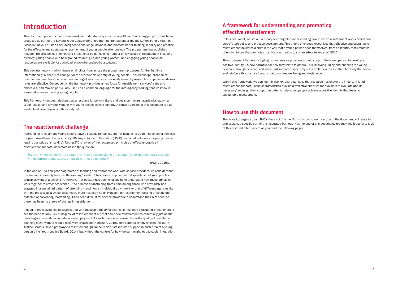### **Introduction**

This document presents a new framework for understanding effective resettlement of young people. It has been produced as part of the Beyond Youth Custody (BYC) programme, funded under the Big Lottery Fund's Youth in Focus initiative. BYC has been designed to challenge, advance and promote better thinking in policy and practice for the effective and sustainable resettlement of young people after custody. The programme has published research reports, policy briefings and practitioner guidance on a number of key issues in resettlement including diversity, young people with background trauma, girls and young women, and engaging young people; all resources are available for download at www.beyondyouthcustody.net.

"So, even when we know the solution, and we know providing the solution is for the most part possible within current budgets, why on earth is it not being done?"

This new framework – which draws on findings from across the programme – proposes, for the first time internationally, a 'theory of change' for the sustainable re-entry of young people. This reconceptualisation of resettlement enables a better understanding of why practices previously shown by research to improve recidivism rates are effective. Consequently, the framework provides a new focus for resettlement services' aims and objectives, and may be particularly useful as a common language for the inter-agency working that we know is essential when supporting young people.

This framework has been designed as a resource for policymakers and decision makers, academics studying youth justice, and anyone working with young people leaving custody. A concise version of this document is also available at www.beyondyouthcustody.net.

### **The resettlement challenge**

Reoffending rates among young people leaving custody remain stubbornly high. In its 2015 inspection of services for youth resettlement after custody, HM Inspectorate of Probation (HMIP) described outcomes for young people leaving custody as "shocking". Noting BYC's review of the recognised principles of effective practice in resettlement support, Inspectors asked the question:

(HMIP, 2015:1)

At the end of BYC's six-year programme of learning and awareness work with service providers, we consider that this failure is primarily because the existing "solution" has been comprised of a disparate set of good practice principles without a unifying framework. Previously, it has been challenging to understand how these principles work together to effect desistance – the process of abstaining from crime among those who previously had engaged in a sustained pattern of offending – and how an individual's own work or that of different agencies fits with the process as a whole. Essentially, there has been no unifying aim for resettlement beyond effecting the outcome of preventing reoffending. It has been difficult for service providers to understand their aim because there has been no theory of change in resettlement.

Indeed, there is evidence to suggest that without such a theory of change, it has been difficult for practitioners to see the need for any 'key principles' of resettlement at all; that some see resettlement as essentially just about providing accommodation or education/employment. As such, there is no sense of how the quality of resettlement planning might work to reduce recidivism (Hazel and Hampson, 2015). This perhaps simply reflects the Youth Justice Board's 'seven pathways to resettlement' guidance, which lists required support in each area of a young person's life (Youth Justice Board, 2014), but without the context for how the sum might lead to social integration.

### **A framework for understanding and promoting effective resettlement**

In this document, we set out a theory of change for understanding how effective resettlement works, which can guide future policy and practice development. This theory of change recognises that effective and sustainable resettlement facilitates a shift in the way that a young person sees themselves, from an identity that promotes offending to one that promotes positive contribution to society (Goodfellow et al, 2015).

The subsequent framework highlights how service providers should support the young person to develop a positive identity – a new narrative for how they relate to others. This involves guiding and enabling the young person – through personal and structural support respectively – to create new roles in their life story that foster and reinforce this positive identity that promotes wellbeing and desistance.

Within this framework, we can identify five key characteristics that research has shown are important for all resettlement support. These characteristics provide a reflective checklist for providers to evaluate and (if necessary) redesign their support in order to help young people achieve a positive identity that leads to sustainable resettlement.

#### **How to use this document**

The following pages explain BYC's theory of change. From this point, each section of the document will relate to, and explain, a specific part of the illustrated framework at the end of this document. You may find it useful to look at this first and refer back to as you read the following pages.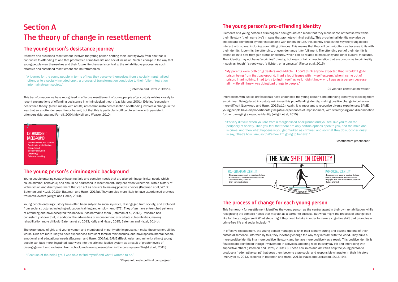# **Section A The theory of change in resettlement**

### **The young person's desistance journey**

Effective and sustained resettlement involves the young person shifting their identity away from one that is conducive to offending to one that promotes a crime-free life and social inclusion. Such a change in the way that young people view themselves and their future life chances is central to the rehabilitative process. As such, effective and sustained resettlement can be reframed as:

"A journey for the young people in terms of how they perceive themselves from a socially marginalised offender to a socially included one… a process of transformation conducive to their fuller integration into mainstream society."

(Bateman and Hazel 2013:29)

This transformation we have recognised in effective resettlement of young people after custody relates closely to recent explanations of offending desistance in criminological theory (e.g. Maruna, 2001). Existing 'secondary desistance theory' (albeit mainly with adults) notes that sustained cessation of offending involves a change in the way that an ex-offender sees him or herself, but that this is particularly difficult to achieve with persistent offenders (Maruna and Farrall, 2004; McNeill and Weaver, 2010).

### **The young person's criminogenic background**

Young people entering custody have multiple and complex needs that are also criminogenic (i.e. needs which cause criminal behaviour) and should be addressed in resettlement. They are often vulnerable, with a history of victimisation and disempowerment that can act as barriers to making positive choices (Bateman et al, 2013; Bateman and Hazel, 2013b; Bateman and Hazel, 2014a). They are also more likely to have experienced previous traumatic events (Wright and Liddle, 2014).

Young people entering custody have often been subject to social injustice, disengaged from society, and excluded from social structures including education, training and employment (ETE). They often have entrenched patterns of offending and have accepted this behaviour as normal to them (Bateman et al, 2013). Research has consistently shown that, in addition, the adversities of imprisonment exacerbate vulnerabilities, making rehabilitation more difficult (Bateman et al, 2013; Kelly and Hazel, 2015; Bateman and Hazel, 2014b).

The experiences of girls and young women and members of minority ethnic groups can make these vulnerabilities worse. Girls are more likely to have experienced turbulent familial relationships, and have specific mental health, emotional and educational needs (Bateman and Hazel, 2014a). BAME (Black, Asian and minority ethnic) young people can face more 'ingrained' pathways into the criminal justice system as a result of greater levels of disengagement and exclusion from school, and over-representation in the care system (Wright et all, 2015).

"Because of the help I got, I was able to find myself and what I wanted to be."

25-year-old male political campaigner

### **The young person's pro-offending identity**

**CRIMINOGENIC BACKGROUND** ∙ Vulnerabilities and trauma ∙ Barriers to social justice ∙ Disengaged ∙ Socially excluded ∙ Offending ∙ Criminal labelling

Elements of a young person's criminogenic background can mean that they make sense of themselves within their life story (their 'narrative') in ways that promote criminal activity. This pro-criminal identity may also be shaped and reinforced by their interactions with others. In turn, this identity shapes the way the young people interact with others, including committing offences. This means that they will commit offences because it fits with their identity; it permits the offending, or even demands it for fulfilment. The offending part of their identity is often tied in to how they gain status or security, which can be related to masculinity and other cultural measures. Their identity may not be as 'a criminal' directly, but may contain characteristics that are conducive to criminality – such as 'tough', 'street-wise', 'a fighter', or 'a gangster' (Factor et al, 2015).

"My parents were both drug dealers and addicts… I don't think anyone expected that I wouldn't go to prison being from that background. I had a lot of issues with my self-esteem. When I came out of prison, I had nothing. I had to try to find myself as well. I didn't know who I was as a person because all my life all I knew was doing bad things to people."

21-year-old construction worker

Interactions with justice professionals have underlined the young person's pro-offending identity by labelling them as criminal. Being placed in custody reinforces this pro-offending identity, making positive change in behaviour more difficult (Lockwood and Hazel, 2015b:12). Again, it is important to recognise diverse experiences; BAME young people have disproportionately negative experiences of imprisonment, with stereotyping and discrimination further damaging a negative identity (Wright et al, 2015).

"It's very difficult when you are from a marginalised background and you feel like you're on the periphery of society. Then you feel that there are only certain options open to you, and the main one is crime. And then what happens is you get marked as criminal, and so what they do subconsciously is say, 'That's how I am, so that's how I'm going to behave'."

Resettlement practitioner

### **The process of change for each young person**

This framework for resettlement identifies the young person as the central agent in their own rehabilitation, while recognising the complex needs that may act as a barrier to success. But what might the process of change look like for the young person? What steps might they need to take in order to make a cognitive shift that promotes a crime-free life and social inclusion?

In effective resettlement, the young person manages to shift their identity during and beyond the end of their custodial sentence. Informed by this, they inevitably change the way they interact with the world. They build a more positive identity in a more positive life story, and behave more positively as a result. This positive identity is fostered and reinforced though involvement in activities, adopting roles in everyday life and interacting with supportive others (Bateman and Hazel, 2013:30). These new roles and activities help the young person to produce a 'redemptive script' that sees them become a pro-social and responsible character in their life story (McKay et al, 2013, explored in Bateman and Hazel, 2014c; Hazel and Lockwood, 2016: 14).

### Pro-offending identity ∙ Disempowerment leads to negative choices ∙ Status/security from self-defeating choices ∙ Destructive roles/activities ∙ Short-term motivations

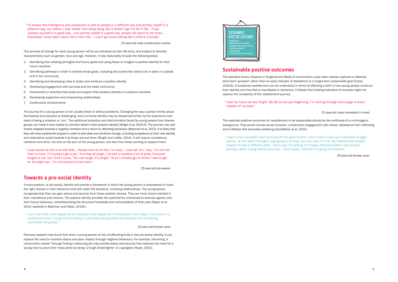"I'd always had intelligence and vocabulary to talk to people in a different way and portray myself in a different way, but before, I was 'street' and using slang. But it doesn't get me far in life… If you conduct yourself in a good way… and portray myself in a good way, people will warm to me more… Everybody I know says I seem like a man now – I can't go round talking like a child in a hoody."

23-year-old male construction worker

This process of change for each young person will be as individual as their life story, and subject to diversity characteristics such as gender, race and age. However, it may reasonably include the following steps:

- 1. Identifying their existing strengths and future goals and using these to imagine a positive identity for their future narrative
- 2. Identifying pathways in order to achieve those goals, including structures that need to be in place in custody and in the community
- 3. Identifying and developing roles to foster and reinforce a positive identity
- 4. Developing engagement with services and the wider community
- 5. Involvement in activities that build and support their positive identity in a positive narrative
- 6. Developing supportive and empowering relationships
- 7. Constructive achievements

The journey for a young person is not usually linear or without problems. Changing the way a person thinks about themselves and behaves is challenging, and a criminal identity may be deepened further by the experience and label of being a prisoner or 'con'. The additional prejudice and discrimination faced by young people from diverse groups can make it even harder to maintain belief in their positive identity (Wright et al, 2015:5). The journey may well involve relapses towards a negative narrative and a return to offending behaviour (Bateman et al, 2013). It is likely that they will need substantial support in order to stimulate and reinforce change, including acceptance of their new identity and redemptive script towards it by those around them (Wright and Liddle, 2014). It will require consistency, resilience and drive, not only on the part of the young person, but also from those working to support them.

"I just wanna be like a normal fella… People look at me like I'm crazy… I just tell 'em, I say, 'I'm not into that no more. I'm trying to get a job.' And they all laugh. I've had to swallow a lot of pride. Everyone laughs at me, but I find it funny, 'You can laugh, it's alright.' Once I actually get to where I wanna get to, the legit way… I'm not scared of hard work."

25-year-old job-seeker

#### **Towards a pro-social identity**

A more positive, or pro-social, identity will provide a framework in which the young person is empowered to make the right choices in their behaviour and with wider life decisions, including relationships. The young person recognises that they can gain status and security from these positive choices. They are more future-oriented in their motivations and choices. The positive identity provides the potential for individuals to exercise agency over their future behaviour, notwithstanding the structural hardships and vulnerabilities of their past (Rajah et al, 2014; explored in Bateman and Hazel, 2014b).

"I can now think, that happened but because that happened I'm the person I am today. I now work in a residential home. I've gone from being a vulnerable young person to someone who is helping vulnerable old people."

20-year-old female carer

Previous research has found that when a young person at risk of offending finds a new pro-social identity, it can replace the need to maintain status and peer respect through negative behaviour. For example, becoming 'a construction worker' through finding a labouring job may provide status and security that replaces the need for a young man to prove their masculinity by being 'a tough street-fighter' or a gangster (Hazel, 2010).

#### **Sustainable positive outcomes**

The standard binary measure in England and Wales of reconviction a year after release captures a relatively short-term symptom rather than an early indicator of desistance or a longer-term sustainable goal (Factor, 2016:6). If sustained resettlement can be understood in terms of effecting a shift in how young people construct their identity and how that is manifested in behaviour, it follows that existing indicators of success might not capture the complexity of the resettlement journey.

"I see my future as very bright. My life is only just beginning. I'm moving through every page of every chapter of my book."

21-year-old male interested in travel

The expected positive outcomes for resettlement to be sustainable should be the antithesis of a criminogenic background. They would include social inclusion, constructive engagement with others, desistance from offending and a lifestyle that promotes wellbeing (Goodfellow et al, 2015).

"I want to be successful and not living off the government. I don't want to end up a homeless druggie person. At one point I thought I was going to be that, but now I see I'm not. My resettlement project helped me see a different path… Every day I'm smiling, I'm happy, whereas before I was always grumpy, upset, crying nearly every day… I feel happy, I feel like I'm going somewhere."

20-year-old female carer

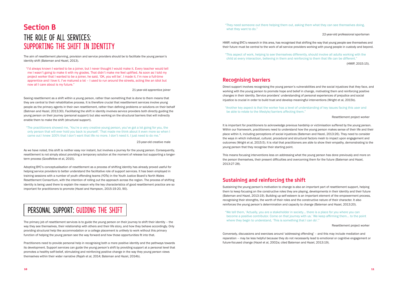# **Section B** The ROLE OF ALL SERVICES: SUPPORTING THE SHIFT IN IDENTITY

The aim of resettlement planning, provision and service providers should be to facilitate the young person's identity shift (Bateman and Hazel, 2013).

"I'd always known I wanted to be a joiner, but I never thought I would make it. Every teacher would tell me I wasn't going to make it with my grades. That didn't make me feel uplifted. As soon as I told my project worker that I wanted to be a joiner, he said, 'OK, you will be'. I made it. I'm now a full-time apprentice and I love it. I've matured a lot – I used to run around the streets, acting like an idiot but now all I care about is my future."

21-year-old apprentice joiner

Seeing resettlement as a shift within a young person, rather than something that is done to them means that they are central to their rehabilitative process. It is therefore crucial that resettlement services involve young people as the primary agents in their own resettlement, rather than defining problems or solutions on their behalf (Batman and Hazel, 2013:30). Facilitating the shift in identity involves service providers both directly guiding the young person on their journey (personal support) but also working on the structural barriers that will indirectly enable them to make the shift (structural support).

"The practitioners showed me, 'You're a very creative young person, you've got a lot going for you, the only person that will ever hold you back is yourself.' That made me think about it even more so when I came out I knew 100% that I don't want that life no more. I don't need it. I just need to do me."

The primary job of resettlement services is to guide the young person on their journey to shift their identity – the way they see themselves, their relationship with others and their life story, and how they behave accordingly. Only providing structural help like accommodation or a college placement is unlikely to work without this primary function of helping the young person see the way forward and how those opportunities fit into that.

23-year-old creative male

"They need someone out there helping them out, asking them what they can see themselves doing, what they want to do."

As we have noted, this shift is neither easy nor instant, but involves a journey for the young person. Consequently, resettlement is not simply about providing a temporary solution at the moment of release but supporting a longerterm process (Goodfellow et al, 2015).

Adopting BYC's conceptualisation of resettlement as a process of shifting identity has already proved useful for helping service providers to better understand the facilitative role of support services. It has been employed in training sessions with a number of youth offending teams (YOTs) in the Youth Justice Board's North Wales Resettlement Consortium, with the intention of rolling out the approach across the region. The process of shifting identity is being used there to explain the reason why the key characteristics of good resettlement practice are so important for practitioners to promote (Hazel and Hampson, 2015:19-20, 90).

# PERSONAL SUPPORT: GUIDING THE SHIFT

"We tell them, 'Actually, you are a stakeholder in society… there is a place for you where you can become a positive contributor. Come on that journey with us.' We keep affirming them… to the point where they begin to understand, 'This is something that I can do'."

Practitioners need to provide personal help in recognising both a more positive identity and the pathways towards its development. Support services can guide the young person's shift by providing support at a personal level that promotes a healthy self-belief, stimulating and reinforcing positive change in the way they young person views themselves within their wider narrative (Rajah et al, 2014; Bateman and Hazel, 2014b).

22-year-old professional sportsman

HMIP, noting BYC's research in this area, has recognised that shifting the way that young people see themselves and their future must be central to the work of all service providers working with young people in custody and beyond.

"This aspect of work, helping to see themselves differently, should involve all adults working with the child at every interaction, believing in them and reinforcing to them that life can be different." (HMIP, 2015:15).

### **Recognising barriers**

Direct support involves recognising the young person's vulnerabilities and the social injustices that they face, and working with the young person to promote hope and belief in change, motivating them and reinforcing positive changes in their identity. Service providers' understanding of personal experiences of prejudice and social injustice is crucial in order to build trust and develop meaningful interventions (Wright et al, 2015b).

"Another key aspect is that the worker has a level of understanding of key issues facing this user and be able to relate to the lifestyle/barriers affecting them."

Resettlement project worker

It is important for practitioners to acknowledge previous hardship or victimisation suffered by the young person. Within our framework, practitioners need to understand how the young person makes sense of their life and their place within it, including perceptions of social injustices (Bateman and Hazel, 2013:26). They need to consider the ways in which individual, cultural, procedural and structural factors mesh to impact upon engagement and outcomes (Wright et al, 2015:5). It is vital that practitioners are able to show their empathy, demonstrating to the young person that they recognise their starting point.

This means focusing interventions less on addressing what the young person has done previously and more on the person themselves, their present difficulties and overcoming them for the future (Bateman and Hazel, 2013:27-28).

### **Sustaining and reinforcing the shift**

Sustaining the young person's motivation to change is also an important part of resettlement support, helping them to keep focusing on the constructive roles they are playing, developments in their identity and their future (Bateman and Hazel, 2013:19). Building up self-esteem is an important element of the empowerment process, recognising their strengths, the worth of their roles and the constructive nature of their character. It also reinforces the young person's determination and capacity to change (Bateman and Hazel, 2013:20).

Resettlement project worker

Conversely, discussions and exercises around 'addressing offending' – and this may include mediation and reparation – may be less helpful because they do not necessarily lead to emotional or cognitive engagement or future-focused change (Hazel et al, 2002a; cited Bateman and Hazel, 2013:19).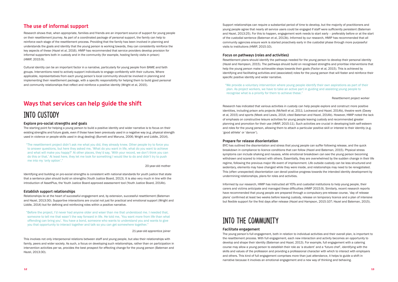### **The use of informal support**

Research shows that, when appropriate, families and friends are an important source of support for young people on their resettlement journey. As part of a coordinated package of personal support, the family can help to reinforce each stage of the resettlement process. Providing that the family has been involved in planning and understands the goals and identity that the young person is working towards, they can consistently reinforce the key aspects of these (Hazel et al, 2016). HMIP has recommended that service providers develop provision for informal supporters both in custody and in the community (for example, hosting family visits in prison) (HMIP, 2015:9).

Cultural identity can be an important factor in a narrative, particularly for young people from BAME and faith groups. Interventions need to actively support individuals to engage confidently with their cultures. Where applicable, representatives from each young person's local community should be involved in planning and implementing their resettlement package, with a specific responsibility for helping them to build good personal and community relationships that reflect and reinforce a positive identity (Wright et al, 2015).

### **Ways that services can help guide the shift**

### Into custody

#### **Explore pro-social strengths and goals**

The starting point for helping a young person to build a positive identity and wider narrative is to focus on their existing strengths and future goals, even if those have been previously used in a negative way (e.g. physical strength used in violence or people skills used in drug dealing) (Burnett and Maruna, 2006; Wright and Liddle, 2014).

"The resettlement project didn't ask me what you did, they already knew. Other people try to force you to answer questions, but here they asked me, 'What do you want in life, what do you want to achieve and what will make you happy?' At other places, they'd say, 'With your record, we don't think you can do this or that.' At least here, they let me look for something I would like to do and didn't try to push me into my 'only option'."

20-year-old mother

Identifying and building on pro-social strengths is consistent with national standards for youth justice that state that a sentence plan should build on strengths (Youth Justice Board, 2013). It is also very much in line with the introduction of AssetPlus, the Youth Justice Board approved assessment tool (Youth Justice Board, 2014b).

#### **Establish support relationships**

Relationships lie at the heart of successful engagement and, by extension, successful resettlement (Bateman and Hazel, 2013:30). Supportive interactions are crucial not just for practical and emotional support (Wright and Liddle, 2014) but for defining and reinforcing roles within a positive narrative.

"Before the project, I'd never had anyone older and wiser than me that understood me. I needed that, someone to tell me that wasn't the way forward in life. He told me, 'You want more from life than what offending can bring you'. You have a bond, someone who wants to understand you and wants to give you that opportunity to interact together and talk so you can get somewhere together."

21-year-old apprentice joiner

Informed by our research, HMIP has instructed all YOTs and custodial institutions to help young people, their carers and victims anticipate and managed these difficulties (HMIP 2015:9). Similarly, recent research reports have recommended that young people are prepared through a compulsory pre-release course, 'day of release plans' confirmed at least two weeks before leaving custody, release on temporary licence and a plan of intensive but flexible support for the first days after release (Hazel and Hampson, 2015:107; Hazel and Bateman, 2015).

This involves not only interpersonal relations between staff and young people, but also their relationships with family, peers and wider society. As such, a focus on developing such relationships, rather than on participation in intervention activities per se, provides the best prospect for effecting change for the young person (Bateman and Hazel, 2013:30).

Support relationships can require a substantial period of time to develop, but the majority of practitioners and young people agree that nearly all service users could be engaged if staff were sufficiently persistent (Bateman and Hazel, 2013:25). For this to happen, engagement work needs to start early – preferably before or at the start of the custodial sentence (Bateman et al, 2013b). Informed by our research, HMIP has recommended that all community agencies ensure work is started proactively early in the custodial phase through more purposeful visits to institutions (HMIP, 2015:10).

#### **Focus on pathways (roles and activities)**

Resettlement plans should identify the pathways needed for the young person to develop their personal identity (Hazel and Hampson, 2015). The pathways should build on recognised strengths and prioritise interventions that help the young person make achievable steps towards their goals (Factor et al, 2015). This is achieved by identifying and facilitating activities and (associated) roles for the young person that will foster and reinforce their specific positive identity and wider narrative.

"We provide a voluntary intervention where young people identify their own aspirations as part of their plan. As project workers, we have to take an active part in guiding and assisting young people to recognise what is a priority for them to achieve these."

#### Resettlement project worker

Research has indicated that various activities in custody can help people explore and construct more positive identities, including prison arts projects (McNeill et al, 2011; Lockwood and Hazel, 2014b), theatre work (Davey et al, 2015) and sports (Meek and Lewis, 2014; cited Bateman and Hazel, 2014b). However, HMIP noted the lack of emphasis on constructive leisure activities for young people leaving custody and recommended greater planning and promotion for their use (HMIP, 2015:11). Such activities are crucial in developing both self-esteem and roles for the young person, allowing them to attach a particular positive skill or interest to their identity (e.g. 'good athlete' or 'dancer').

#### **Prepare for release disorientation**

BYC has outlined the disorientation and stress that young people can suffer following release, and the quick breakdown in compliance to licence conditions that can follow (Hazel and Bateman, 2015). Physical stress symptoms can include shaking and nausea, while emotional breakdown can see the young person becoming withdrawn and scared to interact with others. Essentially, they are overwhelmed by the sudden change in their life regime, following the previous major life event of imprisonment. Life outside custody can be less structured and sedentary, elements may have changed while they were inside, and relationships may need to be renegotiated. This (often unexpected) disorientation can derail positive progress towards the intended identity development by undermining relationships, plans for roles and activities.

### Into the community

#### **Facilitate engagement**

The young person's full engagement, both in relation to individual activities and their overall plan, is important to the resettlement process. With full engagement, each new interaction and activity becomes an opportunity to develop and shape their identity (Bateman and Hazel, 2013). For example, full engagement with a catering course may allow a young person to establish their role as 'a student' and a 'future chef', identifying with the skills and values of the profession and providing a professional character with which to interact with employers and others. This kind of full engagement comprises more than just attendance, it helps to guide a shift in narrative because it involves an emotional engagement and a new way of thinking and behaving.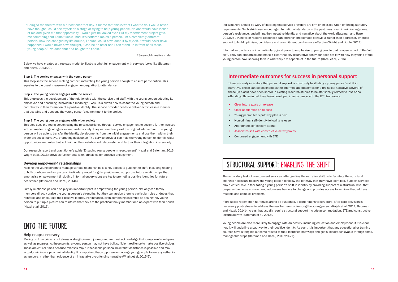"Going to the theatre with a practitioner that day, it hit me that this is what I want to do. I would never have thought I could see myself on a stage or trying to help young people. No one would have looked at me and given me that opportunity; I would just be looked over. But my resettlement project gave me something that I didn't know I had. It's bettered me as a person. I'm a completely different person. How I've changed my life around, I doubt I could have done it by myself. It would never have happened. I would never have thought, 'I can be an actor and I can stand up in front of all these young people.' I've done that and bought the t-shirt."

23-year-old creative male

Below we have created a three-step model to illustrate what full engagement with services looks like (Bateman and Hazel, 2013:29).

#### Step 1: The service engages with the young person

This step sees the service making contact, motivating the young person enough to ensure participation. This equates to the usual measure of engagement equating to attendance.

#### Step 2: The young person engages with the service

This step sees the development of the relationship with the service and staff, with the young person adopting its objectives and becoming involved in a meaningful way. This allows new roles for the young person and contributes to their formation of a positive identity. The service provider needs to deliver activities in a manner that sustains and deepens the young person's commitment to the project.

#### Step 3: The young person engages with wider society

This step sees the young person using the roles established through service engagement to become further involved with a broader range of agencies and wider society. They will eventually exit the original intervention. The young person will be able to transfer the identity developments from the initial engagements and use them within their wider pro-social narrative, promoting desistance. The service provider can help the young person to identify wider opportunities and roles that will build on their established relationship and further their integration into society.

Our research report and practitioner's guide 'Engaging young people in resettlement' (Hazel and Bateman, 2013; Wright et al, 2013) provides further details on principles for effective engagement.

#### **Develop empowering relationships**

Helping the young person to manage various relationships is a key aspect to guiding the shift, including relating to both doubters and supporters. Particularly noted for girls, positive and supportive future relationships that emphasise empowerment (including in formal supervision) are key to promoting positive identities for future desistance (Bateman and Hazel, 2014a).

Family relationships can also play an important part in empowering the young person. Not only can family members directly praise the young person's strengths, but they can assign them to particular roles or duties that reinforce and encourage their positive identity. For instance, even something as simple as asking they young person to put up a picture can reinforce that they are the practical family member and an expert with their hands (Hazel et al, 2016).

# Into the future

#### **Help relapse recovery**

Moving on from crime is not always a straightforward journey and we must acknowledge that it may involve relapses as well as progress. At these points, a young person may not have built sufficient resilience to make positive choices. These are critical times because relapses may further shake personal belief that desistance is possible and may actually reinforce a pro-criminal identity. It is important that supporters encourage young people to see any setbacks as temporary rather than evidence of an intractable pro-offending narrative (Wright et al, 2015:5).

Policymakers should be wary of insisting that service providers are firm or inflexible when enforcing statutory requirements. Such strictness, encouraged by national standards in the past, may result in reinforcing young person's resistance, underlining their negative identity and narrative about the world (Bateman and Hazel, 2013:27). Punitive or reactive responses can entrench problematic behaviour rather than address it, whereas support to build optimism, confidence and commitment can be more effective (Wright and Liddle, 2014).

Informal supporters are in a particularly good place to emphasise to young people that relapse is part of the 'old self'. They can empathise and make it clear that any destructive behaviour does not fit with how they think of the young person now, showing faith in what they are capable of in the future (Hazel et al, 2016).

### **Intermediate outcomes for success in personal support**

There are early indicators that personal support is effectively facilitating a young person's shift in narrative. These can be described as the intermediate outcomes for a pro-social narrative. Several of these (in black) have been shown in existing research studies to be statistically related to less or no offending. Those in red have been developed in accordance with the BYC framework.

- Clear future goals on release
- Clear about roles on release
- Young person feels pathway plan is own
- Non-criminal self-identity following release
- Appropriate self-esteem at end
- Associates self with constructive activity/roles
- Continued engagement with ETE

# STRUCTURAL SUPPORT: ENABLING THE SHIFT

The secondary task of resettlement services, after guiding the narrative shift, is to facilitate the structural changes necessary to allow the young person to follow the pathway that they have identified. Support services play a critical role in facilitating a young person's shift in identity by providing support at a structural level that prepares the home environment, addresses barriers to change and provides access to services that address multiple and complex problems.

If pro-social redemption narratives are to be sustained, a comprehensive structural after-care provision is necessary post-release to address the real barriers confronting the young person (Rajah et al, 2014; Bateman and Hazel, 2014b). Areas that usually require structural support include accommodation, ETE and constructive leisure activity (Bateman et al, 2013).

Young people are also more likely to engage with an activity, including education and employment, if it is clear how it will underline a pathway to their positive identity. As such, it is important that any educational or training courses have a tangible outcome related to their identified pathways and goals, ideally achievable through small, manageable steps (Bateman and Hazel, 2013:20-21).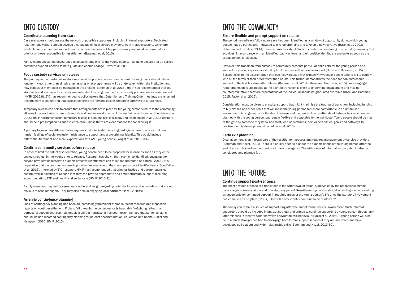# Into custody

#### **Coordinate planning from start**

Case managers should assess the network of possible supporters, including informal supporters. Dedicated resettlement workers should develop a catalogue of local service providers, from multiple sectors, which are available for resettlement support. Such coordination does not happen naturally and must be regarded as a priority by those responsible for resettlement (Bateman et al, 2013).

Family members can be encouraged to act as champions for the young people, helping to ensure that all parties commit to support needed to both guide and enable change (Hazel et al, 2016).

#### **Focus custody services on release**

The primary aim of custodial institutions should be preparation for resettlement. Training plans should take a long-term view rather than simply emphasising what programmes will be undertaken within the institution and how behaviour might best be managed in the present (Bateman et al, 2013). HMIP has recommended that the standards and guidance for custody are amended to strengthen the focus on early preparation for resettlement (HMIP, 2015:9). BYC has recommended to policymakers that Detention and Training Order meetings are renamed Resettlement Meetings and that associated forms are forward-looking, preparing pathways to future roles.

Temporary release can help to ensure that arrangements are in place for the young person's return to the community, allowing for a graduated return to family life and limiting worst effects of disorientation and trauma (Goodfellow et al, 2015). HMIP recommends that temporary release is a routine part of custody and resettlement (HMIP, 2015:8); there should be a presumption as such in each case unless there are clear reasons for not allowing it.

A primary focus on resettlement also requires custodial institutions to guard against any practices that could harden feelings of social exclusion, resistance to support and a pro-criminal identity. This would include differential treatment and bleak expectations for BAME young people (Wright et al, 2015: 3-4).

#### **Confirm community services before release**

In order to limit the risk of disorientation, young people need to be prepared for release as soon as they enter custody, not just in the weeks prior to release. Research has shown that, even once identified, engaging the service providers necessary to support effective resettlement can take time (Bateman and Hazel, 2013). It is imperative that the community-based opportunities available to the young person are identified early (Goodfellow et al, 2015). Informed by BYC research, HMIP has recommended that criminal justice and partner agencies confirm well in advance of release that they can provide appropriate and timely structural support, including accommodation, ETE and health and social care (HMIP, 2015:9).

Family members may well possess knowledge and insight regarding potential local service providers that are not obvious to case managers. They may also help in engaging local partners (Hazel, 2016:8).

#### **Arrange contingency planning**

Lack of contingency planning has been an increasingly prominent theme in recent research and inspection reports on youth resettlement. If plans fall through, the consequence is invariably firefighting rather than purposeful support that can help enable a shift in narrative. It has been recommended that sentence plans should include recorded contingency planning for at least accommodation, education and health (Hazel and Hampson, 2015; HMIP, 2015).

# Into the community

#### **Ensure flexible and prompt support on release**

The period immediately following release has been identified as a window of opportunity during which young people may be particularly motivated to give up offending and take up a new narrative (Hazel et al, 2002; Bateman and Hazel, 2013:14). Service providers should look to create traction during this period by ensuring that activities, in accordance with an identified pathway towards their positive identity, are available as soon as the young person is released.

However, this transition from custody to community presents particular risks both for the young person and support provision, so providers should plan for enhanced but flexible support (Hazel and Bateman, 2015). Susceptibility to the disorientation that can follow release may explain why younger people tend to fail to comply with all the terms of their order faster than adults. This further demonstrates the need for non-enforceable support in the first few days after release (Bateman et al, 2013a; Hazel and Hampson, 2015). Imposing rigid requirements on young people at the point of transition is likely to undermine engagement and may be counterproductive, therefore expectations of the individual should be graduated over time (Hazel and Bateman, 2015; Factor et al, 2015).

Consideration must be given to practical support that might minimise the trauma of transition, including funding to buy clothes and other items that will make the young person feel more comfortable in an unfamiliar environment. Arrangements for the day of release and the period directly after should always be carried out as planned with the young person, but remain flexible and adaptable to the individual. Young people should be met at the gate by someone they know and trust, who understands their vulnerabilities, goals and pathways to positive identity development (Goodfellow et al, 2015).

#### **Early exit planning**

Disengagement is an integral part of the resettlement process and requires management by service providers (Bateman and Hazel, 2013). There is a crucial need to plan for the support needs of the young person after the end of any contracted support period with any one agency. The withdrawal of informal support should also be considered and planned for.

# Into the future

#### **Continue support post-sentence**

The most obvious of these exit transitions is the withdrawal of formal supervision by the responsible criminal justice agency, usually at the end of a statutory period. Resettlement provision should accordingly include making arrangements for continued support in required areas of the young person's life once the statutory involvement has come to an end (Hazel, 2004). How will a new identity continue to be reinforced?

The family can remain a source of support long after the end of formal service involvement. Such informal supporters should be included in any exit strategy and primed to continue supporting a young person through any later relapses in identity, wider narrative or symptomatic behaviour (Hazel et al, 2016). A young person will also be in a much stronger position to disengage from formal support services if they are motivated and have developed self-esteem and wider relationship skills (Bateman and Hazel, 2013:30).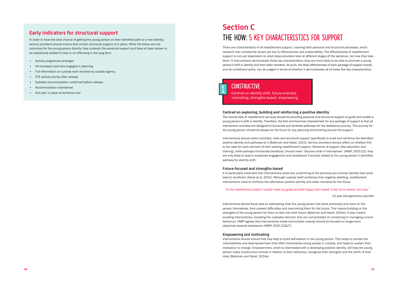### **Early indicators for structural support**

In order to have the best chance of getting the young person on their identified path to a new identity, service providers should ensure that certain structural support is in place. While the below are not outcomes for the young person directly, they underpin the personal support and have all been shown to be statistically related to less or no offending in the long term.

- Activity programme arranged
- All necessary partners engaged in planning
- Full information on custody work received by outside agency
- ETE activity shortly after release
- Suitable accommodation confirmed before release
- Accommodation maintained
- Exit plan in place at sentence end

# **Section C** The HOW: 5 KEY characteristics for support

There are characteristics of all resettlement support, covering both personal and structural processes, which research has consistently shown are key to effectiveness and sustainability. The effectiveness of resettlement support is not just dependent on what steps providers take at different stages of the sentence, but how they take them. If interventions demonstrate these key characteristics, they are more likely to be able to promote a young person's shift in identity and their wider narrative. As such, the likely effectiveness of each package of support overall, and its constituent parts, can be judged in terms of whether it demonstrates all of these five key characteristics.

#### **Centred on exploring, building and reinforcing a positive identity**

The central task of resettlement services should be providing personal and structural support to guide and enable a young person's shift in identity. Therefore, the first and foremost characteristic for any package of support is that all intervention activities are designed to illuminate and facilitate pathways for the desistance journey. This journey for the young person should be always be the focus for any planning and thinking around the support.

Interventions should select activities, roles and structural support specifically to build and reinforce the identified positive identity and pathways to it (Bateman and Hazel, 2013). Service providers should reflect on whether this is the case for each element of their existing resettlement support. Elements of support (like education and training), while perhaps intrinsically beneficial, should never "become ends in themselves" (HMIP, 2015:22); they are only likely to lead to sustained engagement and desistance if actively related to the young person's identified pathway for identity shift.

#### **Future-focused and strengths-based**

It is particularly important that interventions avoid any underlining of the previous pro-criminal identity that could lead to recidivism (Hazel et al, 2015). Although custody itself reinforces that negative labelling, resettlement interventions need to reinforce the alternative positive identity and wider narrative for the future.

"In the resettlement project I would make my goals and feel happy with myself. It led me to where I am now."

21-year-old apprentice plumber

Interventions should focus less on addressing what the young person has done previously and more on the person themselves, their present difficulties and overcoming them for the future. This means building on the strengths of the young person for them to take into their future (Bateman and Hazel, 2014a). It also means avoiding interventions, including the custodial element, that are concentrated on containing or managing current behaviour. HMIP agrees that interventions inside and outside custody should be focused on longer-term objectives towards desistance (HMIP, 2015:22&27).

#### **Empowering and motivating**

Interventions should ensure that they help to build self-esteem in the young person. This helps to combat the vulnerabilities and disempowerment that often characterise young people in custody, and helps to sustain their motivation to change. Empowerment, which is interrelated with a developing positive identity, will help the young person make constructive choices in relation to their behaviour, recognise their strengths and the worth of their roles (Bateman and Hazel, 2014a).



### Constructive

Centred on identity shift, future-oriented, motivating, strengths-based, empowering

1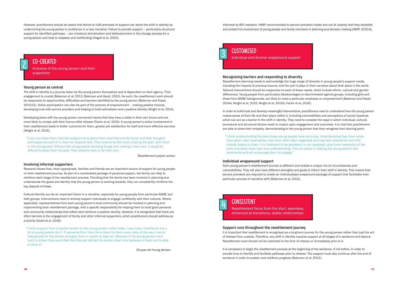However, practitioners should be aware that failure to fulfil promises of support can derail the shift in identity by undermining the young person's confidence in a new narrative. Failure to provide support – particularly structural support for identified pathways – can introduce demotivation and disillusionment in the change process for a young person and lead to relapses and reoffending (Hagell et al, 2000).

#### **Young person as central**

The shift in identity is a journey taken by the young person themselves and is dependent on their agency. Their engagement is crucial (Bateman et al, 2013; Bateman and Hazel, 2013). As such, the resettlement work should be responsive to opportunities, difficulties and barriers identified by the young person (Bateman and Hazel, 2013:21). Active participation can also be part of the process of empowerment – making positive choices, developing trust with service providers and helping to build self-esteem and a positive identity (Wright et al, 2014).

Developing plans with the young person concerned means that they have a stake in their own future and are more likely to comply with their licence after release (Factor et al, 2015). A young person's active involvement in their resettlement leads to better outcomes for them, greater job satisfaction for staff and more effective services (Wright et al, 2014).

"If you can show them that the programme is about them and they are the focus and their thoughts and hopes are part of it, they will respond well. They need to be the ones creating the plan, with them in the driving seat. Without the young people deciding things and making it their own, it would be difficult to keep them focused. Their dreams have to be their own."

Resettlement project worker

#### **Involving informal supporters**

Research shows that, when appropriate, families and friends are an important source of support for young people on their resettlement journey. As part of a coordinated package of personal support, the family can help to reinforce each stage of the resettlement process. Providing that the family has been involved in planning and understands the goals and identity that the young person is working towards, they can consistently reinforce the key aspects of these.

Cultural identity can be an important factor in a narrative, especially for young people from particular BAME and faith groups. Interventions need to actively support individuals to engage confidently with their cultures. Where applicable, representatives from each young person's local community should be involved in planning and implementing their resettlement package, with a specific responsibility for helping them to build good personal and community relationships that reflect and reinforce a positive identity. However, it is recognised that there are often barriers to the engagement of family and other informal supporters, which practitioners should address as a priority (Hazel et al, 2016).

"I think support from a trusted person to the young person really helps, I was lucky I had family but a lot of young people don't. If someone from their life is there for them every step of the way it would help greatly for the person and give them a reason to stay out. Because if the young person went back to prison they would feel like they are letting this person down who believes in them and is able to show it."

26-year-old Young Advisor

Informed by BYC research, HMIP recommended to service providers inside and out of custody that they establish and embed full involvement of young people and family members in planning and decision making (HMIP, 2015:9).

**CUSTOMISED**<br>Individual and diverse wraparound support

#### **Recognising barriers and responding to diversity**

Resettlement planning needs to acknowledge the huge range of diversity in young people's support needs, including the impacts of previous trauma, and the part it plays in their narrative about their place in the world. Tailored interventions should be responsive to each of these needs, which include ethnic, cultural and gender differences. Young people from particularly disadvantaged or discriminated against groups, including girls and those from BAME backgrounds, are likely to need a particular emphasis on empowerment (Bateman and Hazel, 2014a; Wright et al, 2015; Wright et al, 2015b; Factor et al, 2016).

In order to build trust and develop meaningful interventions, practitioners need to understand how the young person makes sense of their life and their place within it, including vulnerabilities and perceptions of social injustices which can act as a barrier to the shift in identity. They need to consider the ways in which individual, cultural, procedural and structural factors mesh to impact upon engagement and outcomes. It is vital that practitioners are able to show their empathy, demonstrating to the young person that they recognise their starting point.

"I think understanding the lives these young people have led is key. Understanding they have rarely been given clear boundaries, they have often been neglected and may feel uncared for and that nobody listens to them. It is important to be persistent in our approach, give them ownership of the work and really show care and understanding. This will assist in making the young person feel worthwhile and will encourage them to engage."

#### **Individual wraparound support**

Each young person's resettlement journey is different and entails a unique mix of circumstances and vulnerabilities. They will also have different strengths and goals to inform their shift in identity. This means that service providers are required to create an individualised wraparound package of support that facilitates their particular process of narrative shift (Bateman et al, 2013).

### **CONSISTENT**

#### **Support runs throughout the resettlement journey**

It is important that resettlement is recognised as a long-term journey for the young person rather than just the act of release from custody. Therefore, any shift in identity requires support at all stages of a sentence and beyond. Resettlement work should not be restricted to the time of release or immediately prior to it.

It is necessary to begin the resettlement process at the beginning of the sentence, if not before, in order to provide time to identify and facilitate pathways prior to release. The support must also continue after the end of sentence in order to sustain and reinforce progress (Bateman et al, 2013).





#### Co-created

Inclusive of the young person and their supporters

2

Resettlement focus from the start, seamless, enhanced at transitions, stable relationships

4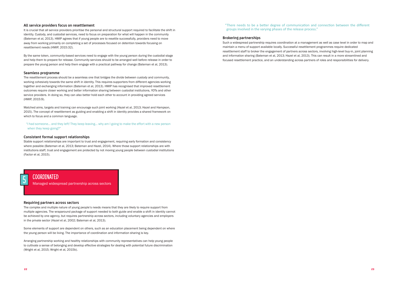#### **All service providers focus on resettlement**

It is crucial that all service providers prioritise the personal and structural support required to facilitate the shift in identity. Custody, and custodial services, need to focus on preparation for what will happen in the community (Bateman et al, 2013). HMIP agrees that if young people are to resettle successfully, providers need to move away from working primarily on completing a set of processes focused on detention towards focusing on resettlement needs (HMIP, 2015:32).

By the same token, community-based services need to engage with the young person during the custodial stage and help them to prepare for release. Community services should to be arranged well before release in order to prepare the young person and help them engage with a practical pathway for change (Bateman et al, 2013).

#### **Seamless programme**

The resettlement process should be a seamless one that bridges the divide between custody and community, working cohesively towards the same shift in identity. This requires supporters from different agencies working together and exchanging information (Bateman et al, 2013). HMIP has recognised that improved resettlement outcomes require closer working and better information sharing between custodial institutions, YOTs and other service providers. In doing so, they can also better hold each other to account in providing agreed services (HMIP, 2015:9).

Matched aims, targets and training can encourage such joint working (Hazel et al, 2013; Hazel and Hampson, 2015). The concept of resettlement as guiding and enabling a shift in identity provides a shared framework on which to focus and a common language.

"I had someone… and they left! They keep leaving… why am I going to make the effort with a new person when they keep going?"

#### **Consistent formal support relationships**

Stable support relationships are important to trust and engagement, requiring early formation and consistency where possible (Bateman et al, 2013; Bateman and Hazel, 2014). Where those support relationships are with institutions staff, trust and engagement are protected by not moving young people between custodial institutions (Factor et al, 2015).

#### **Requiring partners across sectors**

The complex and multiple nature of young people's needs means that they are likely to require support from multiple agencies. The wraparound package of support needed to both guide and enable a shift in identity cannot be achieved by one agency, but requires partnership across sectors, including voluntary agencies and employers in the private sector (Hazel et al, 2002; Bateman et al, 2013).

Some elements of support are dependent on others, such as an education placement being dependent on where the young person will be living. The importance of coordination and information sharing is key.

Arranging partnership working and healthy relationships with community representatives can help young people to cultivate a sense of belonging and develop effective strategies for dealing with potential future discrimination (Wright et al, 2015; Wright et al, 2015b).

"There needs to be a better degree of communication and connection between the different groups involved in the varying phases of the release process."

#### **Brokering partnerships**

Such a widespread partnership requires coordination at a management as well as case level in order to map and maintain a menu of support available locally. Successful resettlement programmes require dedicated resettlement staff to broker the engagement of partners across sectors, involving high-level buy-in, joint planning and information sharing (Bateman et al, 2013; Hazel et al, 2013). This can result in a more streamlined and focused resettlement practice, and an understanding across partners of roles and responsibilities for delivery.

### CoORDINATED

Managed widespread partnership across sectors 5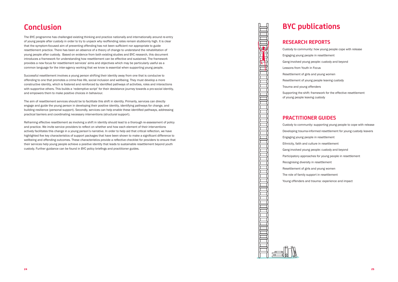### **Conclusion**

The BYC programme has challenged existing thinking and practice nationally and internationally around re-entry of young people after custody in order to try to unpack why reoffending rates remain stubbornly high. It is clear that the symptom-focused aim of preventing offending has not been sufficient nor appropriate to guide resettlement practice. There has been an absence of a theory of change to understand the rehabilitation of young people after custody. Based on evidence from both existing studies and BYC research, this document introduces a framework for understanding how resettlement can be effective and sustained. The framework provides a new focus for resettlement services' aims and objectives which may be particularly useful as a common language for the inter-agency working that we know is essential when supporting young people.

Successful resettlement involves a young person shifting their identity away from one that is conducive to offending to one that promotes a crime-free life, social inclusion and wellbeing. They must develop a more constructive identity, which is fostered and reinforced by identified pathways of activities, roles and interactions with supportive others. This builds a 'redemptive script' for their desistance journey towards a pro-social identity, and empowers them to make positive choices in behaviour.

The aim of resettlement services should be to facilitate this shift in identity. Primarily, services can directly engage and guide the young person in developing their positive identity, identifying pathways for change, and building resilience (personal support). Secondly, services can help enable these identified pathways, addressing practical barriers and coordinating necessary interventions (structural support).

Reframing effective resettlement as involving a shift in identity should lead to a thorough re-assessment of policy and practice. We invite service providers to reflect on whether and how each element of their interventions actively facilitates this change in a young person's narrative. In order to help aid that critical reflection, we have highlighted five key characteristics of support packages that have been shown to make a significant difference to wellbeing and offending outcomes. These characteristics provide a reflective checklist for providers to ensure that their services help young people achieve a positive identity that leads to sustainable resettlement beyond youth custody. Further guidance can be found in BYC policy briefings and practitioner guides.

### **BYC publications**

### **RESEARCH REPORTS**

10111111



- Custody to community: how young people cope with release
- Engaging young people in resettlement
- Gang-involved young people: custody and beyond
- Lessons from Youth in Focus
- Resettlement of girls and young women
- Resettlement of young people leaving custody
- Trauma and young offenders
- Supporting the shift: framework for the effective resettlement of young people leaving custody

### **PRACTITIONER GUIDES**

- Custody to community: supporting young people to cope with release
- Developing trauma-informed resettlement for young custody leavers
- Engaging young people in resettlement
- Ethnicity, faith and culture in resettlement
- Gang-involved young people: custody and beyond
- Participatory approaches for young people in resettlement
- Recognising diversity in resettlement
- Resettlement of girls and young women
- The role of family support in resettlement
- Young offenders and trauma: experience and impact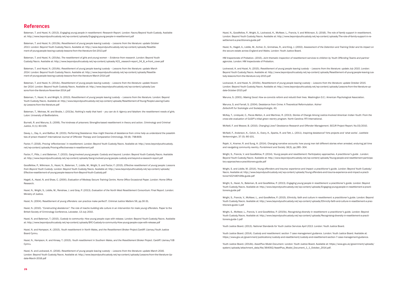Hazel, N., Goodfellow, P., Wright, S., Lockwood, K., McAteer, L., Francis, V. and Wilkinson, S. (2016). *The role of family support in resettlement.* London: Beyond Youth Custody/Nacro. Available at: http://www.beyondyouthcustody.net/wp-content/uploads/The-role-of-family-support-in-resettlement-a-practitioners-guide.pdf

Hazel, N., Hagell, A., Liddle, M., Archer, D., Grimshaw, R., and King, J. (2002). *Assessment of the Detention and Training Order and its impact on the secure estate across England and Wales.* London: Youth Justice Board.

HM Inspectorate of Probation. (2015). *Joint thematic inspection of resettlement services to children by Youth Offending Teams and partner agencies.* London: HM Inspectorate of Probation.

Lockwood, K. and Hazel, N. (2015). *Resettlement of young people leaving custody – Lessons from the literature: update July 2015.* London: Beyond Youth Custody/Nacro. Available at: http://www.beyondyouthcustody.net/wp-content/uploads/Resettlement-of-young-people-leaving-custody-lessons-from-the-literature-July-2015.pdf

Lockwood, K. and Hazel, N. (2015b). *Resettlement of young people leaving custody – Lessons from the literature: update October 2015.* London: Beyond Youth Custody/Nacro. Available at: http://www.beyondyouthcustody.net/wp-content/uploads/Lessons-from-the-literature-update-October-2015.pdf

Wright, S. and Liddle, M. (2014). *Young offenders and trauma: experience and impact: a practitioner's guide.* London: Beyond Youth Custody/ Nacro. Available at: http://www.beyondyouthcustody.net/wp-content/uploads/Young-offenders-and-trauma-experience-and-impact-a-practitioner%E2%80%99s-guide.pdf

Maruna, S. (2001). *Making Good: How ex-convicts reform and rebuild their lives*. Washington D.C.: American Psychological Association.

Maruna, S. and Farrall, S. (2004). Desistance from Crime: A Theoretical Reformulation. *Kolner Zeitschrift fur Soziologie und Sozialpsychologie*, 43.

McKay, T., Lindquist, C., Pecos Melton, A. and Martinez, R. (2013). *Stories of Change Among Justice-Involved American Indian Youth: From the cross-site evaluation of OJJDP's tribal green reentry program.* North Carolina: RTI International.

McNeill, F. and Weaver, B. (2010). *Changing Lives? Desistance Research and Offender Management*. SCCJR Project Report; No.03/2010.

McNeill, F., Anderson, K., Colvin, S., Overy, K., Sparks, R. and Tett, L. (2011). Inspiring desistance? Arts projects and 'what works'. *Justitiele Verkenningen*, 37 (5): 80-101.

Rajah, V., Kramer, R. and Sung, H. (2014). Changing narrative accounts: how young men tell different stories when arrested, enduring jail time and navigating community reentry. *Punishment and Society* 16(3), pp.285–304.

Wright, S., Francis, V. and Goodfellow, P. (2014). *Young people and resettlement: Participatory approaches. A practitioner's guide* . London: Beyond Youth Custody/Nacro. Available at: http://www.beyondyouthcustody.net/wp-content/uploads/Young-people-and-resettlement-participatory-approaches-a-practitioners-guide.pdf

Wright, S., Hazel, N., Bateman, B. and Goodfellow, P. (2013). *Engaging young people in resettlement: a practitioner's guide.* London: Beyond Youth Custody/Nacro. Available at: http://www.beyondyouthcustody.net/wp-content/uploads/Engaging-young-people-in-resettlement-a-practitioners-guide.pdf

Wright, S., Francis, V., McAteer, L., and Goodfellow, P. (2015). *Ethnicity, faith and culture in resettlement: a practitioner's guide*. London: Beyond Youth Custody/Nacro. Available at: http://www.beyondyouthcustody.net/wp-content/uploads/Ethnicity-faith-and-culture-in-resettlement-a-practitioners-guide-1.pdf

Wright, S., McAteer, L., Francis, V. and Goodfellow, P. (2015b). *Recognising diversity in resettlement: a practitioner's guide.* London: Beyond Youth Custody/Nacro. Available at: http://www.beyondyouthcustody.net/wp-content/uploads/Recognising-diversity-in-resettlement-a-practitioners-guide-1.pdf

Youth Justice Board. (2013). *National Standards for Youth Justice Services April 2013.* London: Youth Justice Board.

Youth Justice Board. (2014). *Custody and resettlement: section 7 case management guidance.* London: Youth Justice Board. Available at: https://www.gov.uk/government/publications/custody-and-resettlement/custody-and-resettlement-section-7-case-management-guidance.

Hazel, N. (2010). "Constructing desistence": The role of macho building site culture in an intervention for male young offenders. Paper to the British Society of Criminology Conference, Leicester, 13 July 2010.

> Youth Justice Board. (2014b). *AssetPlus Model Document.* London: Youth Justice Board. Available at: https://www.gov.uk/government/uploads/ system/uploads/attachment\_data/file/364092/AssetPlus\_Model\_Document\_1\_1\_October\_2014.pdf.

#### **References**

Bateman, T. and Hazel, N. (2013). *Engaging young people in resettlement: Research Report.* London: Nacro/Beyond Youth Custody. Available at: http://www.beyondyouthcustody.net/wp-content/uploads/Engaging-young-people-in-resettlement.pdf

Bateman, T. and Hazel, N. (2013b). *Resettlement of young people leaving custody – Lessons from the literature: update October 2013.* London: Beyond Youth Custody/Nacro. Available at: http://www.beyondyouthcustody.net/wp-content/uploads/Resettlement-of-young-people-leaving-custody-lessons-from-the-literature-Oct-2013.pdf

Bateman, T. and Hazel, N. (2014a). *The resettlement of girls and young women – Evidence from research.* London: Beyond Youth Custody/Nacro. Available at: http://www.beyondyouthcustody.net/wp-content/uploads/421\_research-report\_04\_8\_w-front\_cover.pdf

Bateman, T. and Hazel, N. (2014b). *Resettlement of young people leaving custody – Lessons from the literature: update March 2014.* London: Beyond Youth Custody/Nacro. Available at: http://www.beyondyouthcustody.net/wp-content/uploads/Resettlement-of-young-people-leaving-custody-lessons-from-the-literature-March-2014.pdf

Bateman, T. and Hazel, N. (2014c). *Resettlement of young people leaving custody – Lessons from the literature: update November 2014.* London: Beyond Youth Custody/Nacro. Available at: http://www.beyondyouthcustody.net/wp-content/uploads/Lessons-from-the-literature-November-2014.pdf

Bateman, T., Hazel, N. and Wright, S. (2013). *Resettlement of young people leaving custody – Lessons from the literature.* London: Beyond Youth Custody/Nacro. Available at: http://www.beyondyouthcustody.net/wp-content/uploads/Resettlement-of-Young-People-Leaving-Custody-Lessons-from-the-literature.pdf

Bateman, T., Melrose, M. and Brodie, I. (2013a). *Nothing's really that hard – you can do it: Agency and fatalism: the resettlement needs of girls.* Luton: University of Bedfordshire.

Burnett, R. and Maruna, S. (2006). The kindness of prisoners: Strengths-based resettlement in theory and action. *Criminology and Criminal Justice*, 6 (1): 83-106.

Davey, L., Day, A., and Balfour, M. (2015). Performing Desistance: How might theories of desistance from crime help us understand the possibilities of prison theatre? *International Journal of Offender Therapy and Comparative Criminology*, 59 (8): 798-809.

Factor, F. (2016). *Proving 'effectiveness' in resettlement.* London: Beyond Youth Custody/Nacro. Available at: http://www.beyondyouthcustody. net/wp-content/uploads/Proving-effectiveness-in-resettlement.pdf

Factor, F., Pitts, J. and Bateman, T. (2015). *Gang-involved young people: Custody and beyond.* London: Beyond Youth Custody/Nacro. Available at: http://www.beyondyouthcustody.net/wp-content/uploads/Gang-involved-young-people-custody-and-beyond-a-research-report.pdf

Goodfellow, P., Wilkinson, S., Hazel, N., Bateman, T., Liddle, M., Wright, S. and Factor, F. (2015). *Effective resettlement of young people: Lessons from Beyond Youth Custody.* London: Beyond Youth Custody/Nacro. Available at: http://www.beyondyouthcustody.net/wp-content/uploads/ Effective-resettlement-of-young-people-lessons-from-Beyond-Youth-Custody.pdf

Hagell, A., Hazel, N. and Shaw, C. (2000). *Evaluation of Medway Secure Training Centre.* Home Office Occasional Paper. London: Home Office Research.

Hazel, N., Wright, S., Liddle, M., Renshaw, J. and Gray, P. (2013). *Evaluation of the North West Resettlement Consortium: Final Report.* London: Ministry of Justice.

Hazel, N. (2004). Resettlement of young offenders: can practice make perfect?. *Criminal Justice Matters* 56, pp.30-31.

Hazel, N. and Bateman, T. (2015). *Custody to community: How young people cope with release.* London: Beyond Youth Custody/Nacro. Available at: http://www.beyondyouthcustody.net/wp-content/uploads/BYC-Custody-to-community-How-young-people-cope-with-release.pdf

Hazel, N. and Hampson, K. (2015). *Youth resettlement in North Wales, and the Resettlement Broker Project*.Cardiff: Llamau/Youth Justice Board Cymru.

Hazel, N., Hampson, K. and Kinsey, T. (2015). *Youth resettlement in Southern Wales, and the Resettlement Broker Project.* Cardiff: Llamau/YJB Cymru.

Hazel, N. and Lockwood, K. (2016). *Resettlement of young people leaving custody – Lessons from the literature: update March 2016.*  London: Beyond Youth Custody/Nacro. Available at: http://www.beyondyouthcustody.net/wp-content/uploads/Lessons-from-the-literature-Update-March-2016.pdf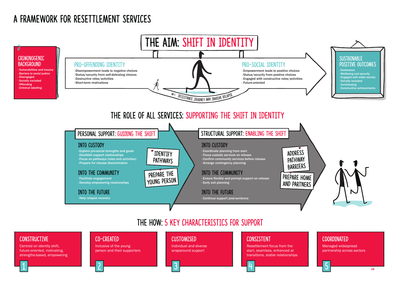

# A FRAMEWORK FOR RESETTLEMENT SERVICES

Centred on identity shift, future-oriented, motivating, strengths-based, empowering

1

### Co-created

Inclusive of the young person and their supporters

### **CUSTOMISED**



### **CONSTRUCTIVE**

2

Individual and diverse wraparound support

### **CONSISTENT**

3

Resettlement focus from the start, seamless, enhanced at transitions, stable relationships

4

### CoORDINATED

Managed widespread partnership across sectors